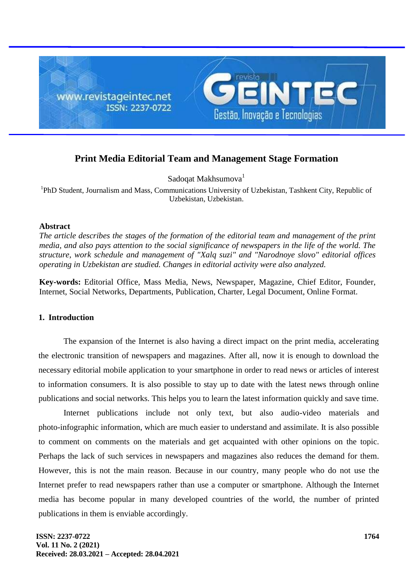

# **Print Media Editorial Team and Management Stage Formation**

Sadoqat Makhsumova<sup>1</sup>

<sup>1</sup>PhD Student, Journalism and Mass, Communications University of Uzbekistan, Tashkent City, Republic of Uzbekistan, Uzbekistan.

#### **Abstract**

*The article describes the stages of the formation of the editorial team and management of the print media, and also pays attention to the social significance of newspapers in the life of the world. The structure, work schedule and management of "Xalq suzi" and "Narodnoye slovo" editorial offices operating in Uzbekistan are studied. Changes in editorial activity were also analyzed.*

**Key-words:** Editorial Office, Mass Media, News, Newspaper, Magazine, Chief Editor, Founder, Internet, Social Networks, Departments, Publication, Charter, Legal Document, Online Format.

### **1. Introduction**

The expansion of the Internet is also having a direct impact on the print media, accelerating the electronic transition of newspapers and magazines. After all, now it is enough to download the necessary editorial mobile application to your smartphone in order to read news or articles of interest to information consumers. It is also possible to stay up to date with the latest news through online publications and social networks. This helps you to learn the latest information quickly and save time.

Internet publications include not only text, but also audio-video materials and photo-infographic information, which are much easier to understand and assimilate. It is also possible to comment on comments on the materials and get acquainted with other opinions on the topic. Perhaps the lack of such services in newspapers and magazines also reduces the demand for them. However, this is not the main reason. Because in our country, many people who do not use the Internet prefer to read newspapers rather than use a computer or smartphone. Although the Internet media has become popular in many developed countries of the world, the number of printed publications in them is enviable accordingly.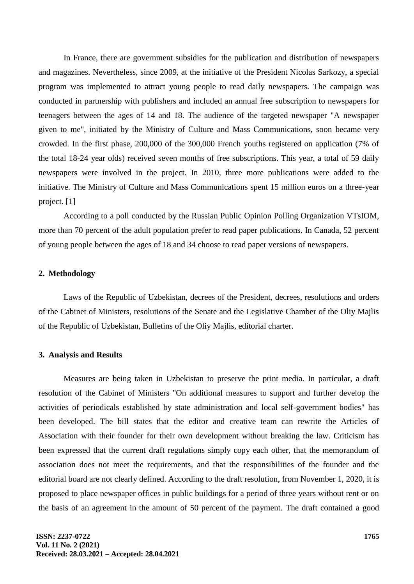In France, there are government subsidies for the publication and distribution of newspapers and magazines. Nevertheless, since 2009, at the initiative of the President Nicolas Sarkozy, a special program was implemented to attract young people to read daily newspapers. The campaign was conducted in partnership with publishers and included an annual free subscription to newspapers for teenagers between the ages of 14 and 18. The audience of the targeted newspaper "A newspaper given to me", initiated by the Ministry of Culture and Mass Communications, soon became very crowded. In the first phase, 200,000 of the 300,000 French youths registered on application (7% of the total 18-24 year olds) received seven months of free subscriptions. This year, a total of 59 daily newspapers were involved in the project. In 2010, three more publications were added to the initiative. The Ministry of Culture and Mass Communications spent 15 million euros on a three-year project. [1]

According to a poll conducted by the Russian Public Opinion Polling Organization VTsIOM, more than 70 percent of the adult population prefer to read paper publications. In Canada, 52 percent of young people between the ages of 18 and 34 choose to read paper versions of newspapers.

# **2. Methodology**

Laws of the Republic of Uzbekistan, decrees of the President, decrees, resolutions and orders of the Cabinet of Ministers, resolutions of the Senate and the Legislative Chamber of the Oliy Majlis of the Republic of Uzbekistan, Bulletins of the Oliy Majlis, editorial charter.

# **3. Analysis and Results**

Measures are being taken in Uzbekistan to preserve the print media. In particular, a draft resolution of the Cabinet of Ministers "On additional measures to support and further develop the activities of periodicals established by state administration and local self-government bodies" has been developed. The bill states that the editor and creative team can rewrite the Articles of Association with their founder for their own development without breaking the law. Criticism has been expressed that the current draft regulations simply copy each other, that the memorandum of association does not meet the requirements, and that the responsibilities of the founder and the editorial board are not clearly defined. According to the draft resolution, from November 1, 2020, it is proposed to place newspaper offices in public buildings for a period of three years without rent or on the basis of an agreement in the amount of 50 percent of the payment. The draft contained a good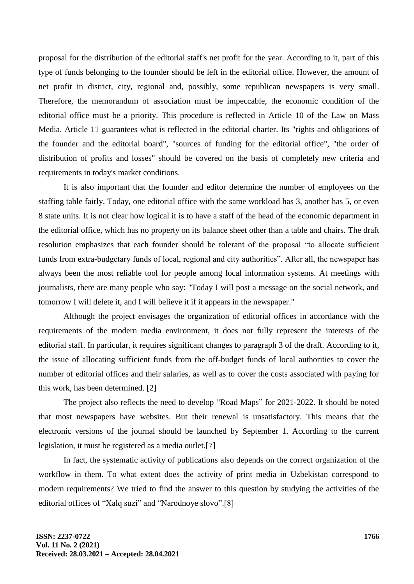proposal for the distribution of the editorial staff's net profit for the year. According to it, part of this type of funds belonging to the founder should be left in the editorial office. However, the amount of net profit in district, city, regional and, possibly, some republican newspapers is very small. Therefore, the memorandum of association must be impeccable, the economic condition of the editorial office must be a priority. This procedure is reflected in Article 10 of the Law on Mass Media. Article 11 guarantees what is reflected in the editorial charter. Its "rights and obligations of the founder and the editorial board", "sources of funding for the editorial office", "the order of distribution of profits and losses" should be covered on the basis of completely new criteria and requirements in today's market conditions.

It is also important that the founder and editor determine the number of employees on the staffing table fairly. Today, one editorial office with the same workload has 3, another has 5, or even 8 state units. It is not clear how logical it is to have a staff of the head of the economic department in the editorial office, which has no property on its balance sheet other than a table and chairs. The draft resolution emphasizes that each founder should be tolerant of the proposal "to allocate sufficient funds from extra-budgetary funds of local, regional and city authorities". After all, the newspaper has always been the most reliable tool for people among local information systems. At meetings with journalists, there are many people who say: "Today I will post a message on the social network, and tomorrow I will delete it, and I will believe it if it appears in the newspaper."

Although the project envisages the organization of editorial offices in accordance with the requirements of the modern media environment, it does not fully represent the interests of the editorial staff. In particular, it requires significant changes to paragraph 3 of the draft. According to it, the issue of allocating sufficient funds from the off-budget funds of local authorities to cover the number of editorial offices and their salaries, as well as to cover the costs associated with paying for this work, has been determined. [2]

The project also reflects the need to develop "Road Maps" for 2021-2022. It should be noted that most newspapers have websites. But their renewal is unsatisfactory. This means that the electronic versions of the journal should be launched by September 1. According to the current legislation, it must be registered as a media outlet.[7]

In fact, the systematic activity of publications also depends on the correct organization of the workflow in them. To what extent does the activity of print media in Uzbekistan correspond to modern requirements? We tried to find the answer to this question by studying the activities of the editorial offices of "Xalq suzi" and "Narodnoye slovo".[8]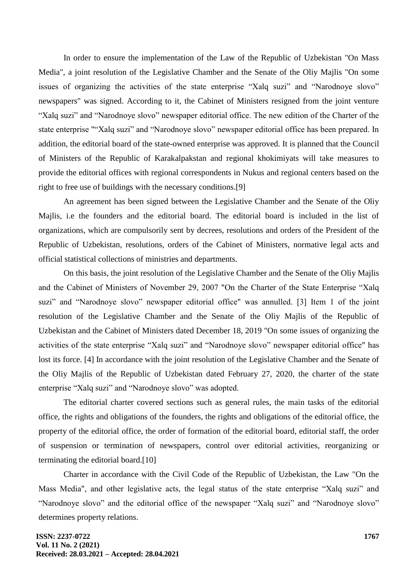In order to ensure the implementation of the Law of the Republic of Uzbekistan "On Mass Media", a joint resolution of the Legislative Chamber and the Senate of the Oliy Majlis "On some issues of organizing the activities of the state enterprise "Xalq suzi" and "Narodnoye slovo" newspapers" was signed. According to it, the Cabinet of Ministers resigned from the joint venture "Xalq suzi" and "Narodnoye slovo" newspaper editorial office. The new edition of the Charter of the state enterprise ""Xalq suzi" and "Narodnoye slovo" newspaper editorial office has been prepared. In addition, the editorial board of the state-owned enterprise was approved. It is planned that the Council of Ministers of the Republic of Karakalpakstan and regional khokimiyats will take measures to provide the editorial offices with regional correspondents in Nukus and regional centers based on the right to free use of buildings with the necessary conditions.[9]

An agreement has been signed between the Legislative Chamber and the Senate of the Oliy Majlis, i.e the founders and the editorial board. The editorial board is included in the list of organizations, which are compulsorily sent by decrees, resolutions and orders of the President of the Republic of Uzbekistan, resolutions, orders of the Cabinet of Ministers, normative legal acts and official statistical collections of ministries and departments.

On this basis, the joint resolution of the Legislative Chamber and the Senate of the Oliy Majlis and the Cabinet of Ministers of November 29, 2007 "On the Charter of the State Enterprise "Xalq suzi" and "Narodnoye slovo" newspaper editorial office" was annulled. [3] Item 1 of the joint resolution of the Legislative Chamber and the Senate of the Oliy Majlis of the Republic of Uzbekistan and the Cabinet of Ministers dated December 18, 2019 "On some issues of organizing the activities of the state enterprise "Xalq suzi" and "Narodnoye slovo" newspaper editorial office" has lost its force. [4] In accordance with the joint resolution of the Legislative Chamber and the Senate of the Oliy Majlis of the Republic of Uzbekistan dated February 27, 2020, the charter of the state enterprise "Xalq suzi" and "Narodnoye slovo" was adopted.

The editorial charter covered sections such as general rules, the main tasks of the editorial office, the rights and obligations of the founders, the rights and obligations of the editorial office, the property of the editorial office, the order of formation of the editorial board, editorial staff, the order of suspension or termination of newspapers, control over editorial activities, reorganizing or terminating the editorial board.[10]

Charter in accordance with the Civil Code of the Republic of Uzbekistan, the Law "On the Mass Media", and other legislative acts, the legal status of the state enterprise "Xalq suzi" and "Narodnoye slovo" and the editorial office of the newspaper "Xalq suzi" and "Narodnoye slovo" determines property relations.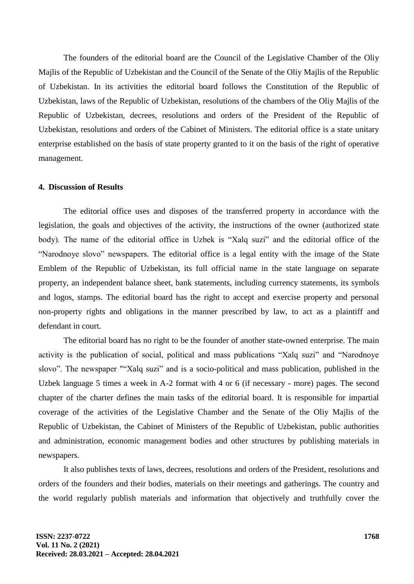The founders of the editorial board are the Council of the Legislative Chamber of the Oliy Majlis of the Republic of Uzbekistan and the Council of the Senate of the Oliy Majlis of the Republic of Uzbekistan. In its activities the editorial board follows the Constitution of the Republic of Uzbekistan, laws of the Republic of Uzbekistan, resolutions of the chambers of the Oliy Majlis of the Republic of Uzbekistan, decrees, resolutions and orders of the President of the Republic of Uzbekistan, resolutions and orders of the Cabinet of Ministers. The editorial office is a state unitary enterprise established on the basis of state property granted to it on the basis of the right of operative management.

# **4. Discussion of Results**

The editorial office uses and disposes of the transferred property in accordance with the legislation, the goals and objectives of the activity, the instructions of the owner (authorized state body). The name of the editorial office in Uzbek is "Xalq suzi" and the editorial office of the "Narodnoye slovo" newspapers. The editorial office is a legal entity with the image of the State Emblem of the Republic of Uzbekistan, its full official name in the state language on separate property, an independent balance sheet, bank statements, including currency statements, its symbols and logos, stamps. The editorial board has the right to accept and exercise property and personal non-property rights and obligations in the manner prescribed by law, to act as a plaintiff and defendant in court.

The editorial board has no right to be the founder of another state-owned enterprise. The main activity is the publication of social, political and mass publications "Xalq suzi" and "Narodnoye slovo". The newspaper ""Xalq suzi" and is a socio-political and mass publication, published in the Uzbek language 5 times a week in A-2 format with 4 or 6 (if necessary - more) pages. The second chapter of the charter defines the main tasks of the editorial board. It is responsible for impartial coverage of the activities of the Legislative Chamber and the Senate of the Oliy Majlis of the Republic of Uzbekistan, the Cabinet of Ministers of the Republic of Uzbekistan, public authorities and administration, economic management bodies and other structures by publishing materials in newspapers.

It also publishes texts of laws, decrees, resolutions and orders of the President, resolutions and orders of the founders and their bodies, materials on their meetings and gatherings. The country and the world regularly publish materials and information that objectively and truthfully cover the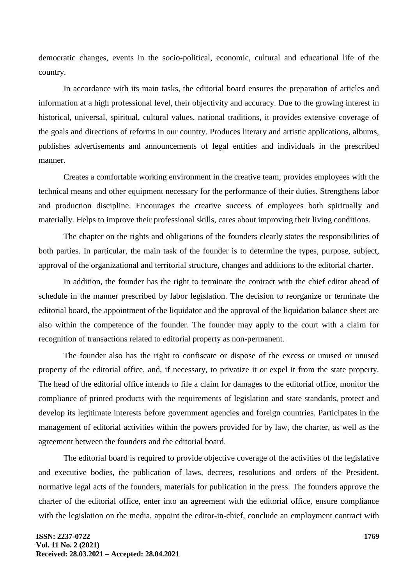democratic changes, events in the socio-political, economic, cultural and educational life of the country.

In accordance with its main tasks, the editorial board ensures the preparation of articles and information at a high professional level, their objectivity and accuracy. Due to the growing interest in historical, universal, spiritual, cultural values, national traditions, it provides extensive coverage of the goals and directions of reforms in our country. Produces literary and artistic applications, albums, publishes advertisements and announcements of legal entities and individuals in the prescribed manner.

Creates a comfortable working environment in the creative team, provides employees with the technical means and other equipment necessary for the performance of their duties. Strengthens labor and production discipline. Encourages the creative success of employees both spiritually and materially. Helps to improve their professional skills, cares about improving their living conditions.

The chapter on the rights and obligations of the founders clearly states the responsibilities of both parties. In particular, the main task of the founder is to determine the types, purpose, subject, approval of the organizational and territorial structure, changes and additions to the editorial charter.

In addition, the founder has the right to terminate the contract with the chief editor ahead of schedule in the manner prescribed by labor legislation. The decision to reorganize or terminate the editorial board, the appointment of the liquidator and the approval of the liquidation balance sheet are also within the competence of the founder. The founder may apply to the court with a claim for recognition of transactions related to editorial property as non-permanent.

The founder also has the right to confiscate or dispose of the excess or unused or unused property of the editorial office, and, if necessary, to privatize it or expel it from the state property. The head of the editorial office intends to file a claim for damages to the editorial office, monitor the compliance of printed products with the requirements of legislation and state standards, protect and develop its legitimate interests before government agencies and foreign countries. Participates in the management of editorial activities within the powers provided for by law, the charter, as well as the agreement between the founders and the editorial board.

The editorial board is required to provide objective coverage of the activities of the legislative and executive bodies, the publication of laws, decrees, resolutions and orders of the President, normative legal acts of the founders, materials for publication in the press. The founders approve the charter of the editorial office, enter into an agreement with the editorial office, ensure compliance with the legislation on the media, appoint the editor-in-chief, conclude an employment contract with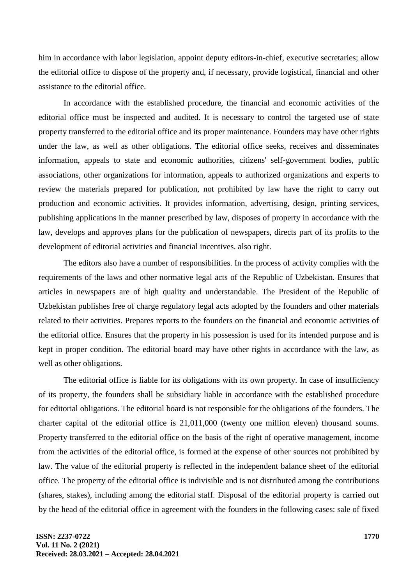him in accordance with labor legislation, appoint deputy editors-in-chief, executive secretaries; allow the editorial office to dispose of the property and, if necessary, provide logistical, financial and other assistance to the editorial office.

In accordance with the established procedure, the financial and economic activities of the editorial office must be inspected and audited. It is necessary to control the targeted use of state property transferred to the editorial office and its proper maintenance. Founders may have other rights under the law, as well as other obligations. The editorial office seeks, receives and disseminates information, appeals to state and economic authorities, citizens' self-government bodies, public associations, other organizations for information, appeals to authorized organizations and experts to review the materials prepared for publication, not prohibited by law have the right to carry out production and economic activities. It provides information, advertising, design, printing services, publishing applications in the manner prescribed by law, disposes of property in accordance with the law, develops and approves plans for the publication of newspapers, directs part of its profits to the development of editorial activities and financial incentives. also right.

The editors also have a number of responsibilities. In the process of activity complies with the requirements of the laws and other normative legal acts of the Republic of Uzbekistan. Ensures that articles in newspapers are of high quality and understandable. The President of the Republic of Uzbekistan publishes free of charge regulatory legal acts adopted by the founders and other materials related to their activities. Prepares reports to the founders on the financial and economic activities of the editorial office. Ensures that the property in his possession is used for its intended purpose and is kept in proper condition. The editorial board may have other rights in accordance with the law, as well as other obligations.

The editorial office is liable for its obligations with its own property. In case of insufficiency of its property, the founders shall be subsidiary liable in accordance with the established procedure for editorial obligations. The editorial board is not responsible for the obligations of the founders. The charter capital of the editorial office is 21,011,000 (twenty one million eleven) thousand soums. Property transferred to the editorial office on the basis of the right of operative management, income from the activities of the editorial office, is formed at the expense of other sources not prohibited by law. The value of the editorial property is reflected in the independent balance sheet of the editorial office. The property of the editorial office is indivisible and is not distributed among the contributions (shares, stakes), including among the editorial staff. Disposal of the editorial property is carried out by the head of the editorial office in agreement with the founders in the following cases: sale of fixed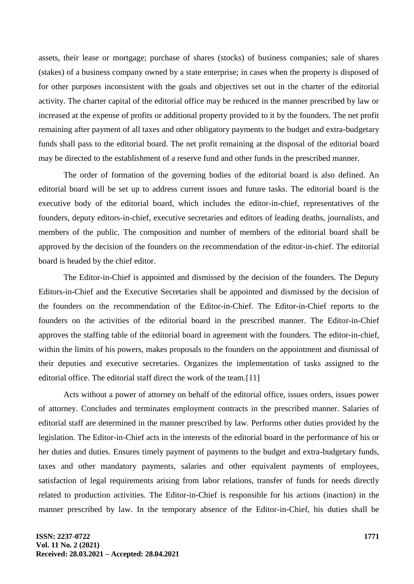assets, their lease or mortgage; purchase of shares (stocks) of business companies; sale of shares (stakes) of a business company owned by a state enterprise; in cases when the property is disposed of for other purposes inconsistent with the goals and objectives set out in the charter of the editorial activity. The charter capital of the editorial office may be reduced in the manner prescribed by law or increased at the expense of profits or additional property provided to it by the founders. The net profit remaining after payment of all taxes and other obligatory payments to the budget and extra-budgetary funds shall pass to the editorial board. The net profit remaining at the disposal of the editorial board may be directed to the establishment of a reserve fund and other funds in the prescribed manner.

The order of formation of the governing bodies of the editorial board is also defined. An editorial board will be set up to address current issues and future tasks. The editorial board is the executive body of the editorial board, which includes the editor-in-chief, representatives of the founders, deputy editors-in-chief, executive secretaries and editors of leading deaths, journalists, and members of the public. The composition and number of members of the editorial board shall be approved by the decision of the founders on the recommendation of the editor-in-chief. The editorial board is headed by the chief editor.

The Editor-in-Chief is appointed and dismissed by the decision of the founders. The Deputy Editors-in-Chief and the Executive Secretaries shall be appointed and dismissed by the decision of the founders on the recommendation of the Editor-in-Chief. The Editor-in-Chief reports to the founders on the activities of the editorial board in the prescribed manner. The Editor-in-Chief approves the staffing table of the editorial board in agreement with the founders. The editor-in-chief, within the limits of his powers, makes proposals to the founders on the appointment and dismissal of their deputies and executive secretaries. Organizes the implementation of tasks assigned to the editorial office. The editorial staff direct the work of the team.[11]

Acts without a power of attorney on behalf of the editorial office, issues orders, issues power of attorney. Concludes and terminates employment contracts in the prescribed manner. Salaries of editorial staff are determined in the manner prescribed by law. Performs other duties provided by the legislation. The Editor-in-Chief acts in the interests of the editorial board in the performance of his or her duties and duties. Ensures timely payment of payments to the budget and extra-budgetary funds, taxes and other mandatory payments, salaries and other equivalent payments of employees, satisfaction of legal requirements arising from labor relations, transfer of funds for needs directly related to production activities. The Editor-in-Chief is responsible for his actions (inaction) in the manner prescribed by law. In the temporary absence of the Editor-in-Chief, his duties shall be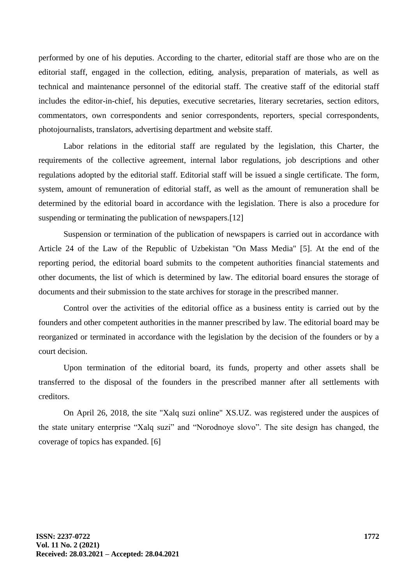performed by one of his deputies. According to the charter, editorial staff are those who are on the editorial staff, engaged in the collection, editing, analysis, preparation of materials, as well as technical and maintenance personnel of the editorial staff. The creative staff of the editorial staff includes the editor-in-chief, his deputies, executive secretaries, literary secretaries, section editors, commentators, own correspondents and senior correspondents, reporters, special correspondents, photojournalists, translators, advertising department and website staff.

Labor relations in the editorial staff are regulated by the legislation, this Charter, the requirements of the collective agreement, internal labor regulations, job descriptions and other regulations adopted by the editorial staff. Editorial staff will be issued a single certificate. The form, system, amount of remuneration of editorial staff, as well as the amount of remuneration shall be determined by the editorial board in accordance with the legislation. There is also a procedure for suspending or terminating the publication of newspapers.<sup>[12]</sup>

Suspension or termination of the publication of newspapers is carried out in accordance with Article 24 of the Law of the Republic of Uzbekistan "On Mass Media" [5]. At the end of the reporting period, the editorial board submits to the competent authorities financial statements and other documents, the list of which is determined by law. The editorial board ensures the storage of documents and their submission to the state archives for storage in the prescribed manner.

Control over the activities of the editorial office as a business entity is carried out by the founders and other competent authorities in the manner prescribed by law. The editorial board may be reorganized or terminated in accordance with the legislation by the decision of the founders or by a court decision.

Upon termination of the editorial board, its funds, property and other assets shall be transferred to the disposal of the founders in the prescribed manner after all settlements with creditors.

On April 26, 2018, the site "Xalq suzi online" XS.UZ. was registered under the auspices of the state unitary enterprise "Xalq suzi" and "Norodnoye slovo". The site design has changed, the coverage of topics has expanded. [6]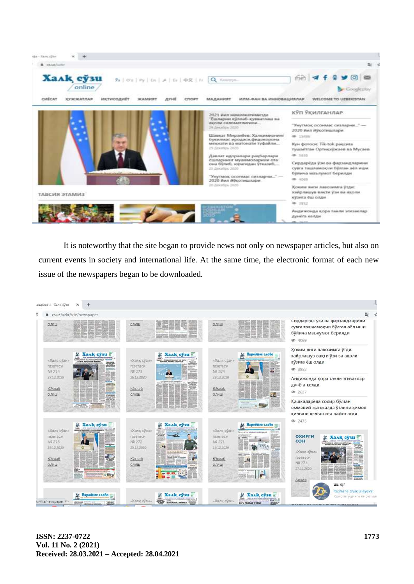

It is noteworthy that the site began to provide news not only on newspaper articles, but also on current events in society and international life. At the same time, the electronic format of each new issue of the newspapers began to be downloaded.

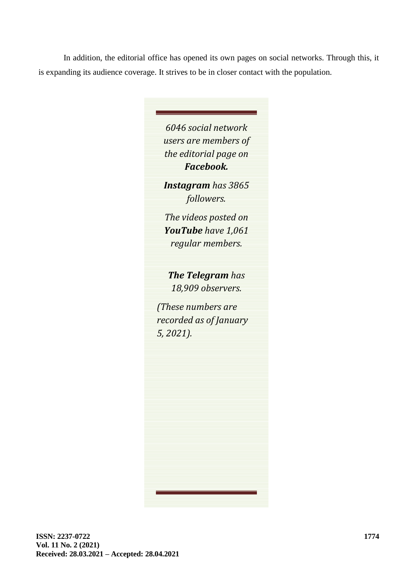In addition, the editorial office has opened its own pages on social networks. Through this, it is expanding its audience coverage. It strives to be in closer contact with the population.

> *6046 social network users are members of the editorial page on Facebook.*

*Instagram has 3865 followers.*

*The videos posted on YouTube have 1,061 regular members.*

*The Telegram has 18,909 observers.*

*(These numbers are recorded as of January 5, 2021).*

**ISSN: 2237-0722 Vol. 11 No. 2 (2021) Received: 28.03.2021 – Accepted: 28.04.2021**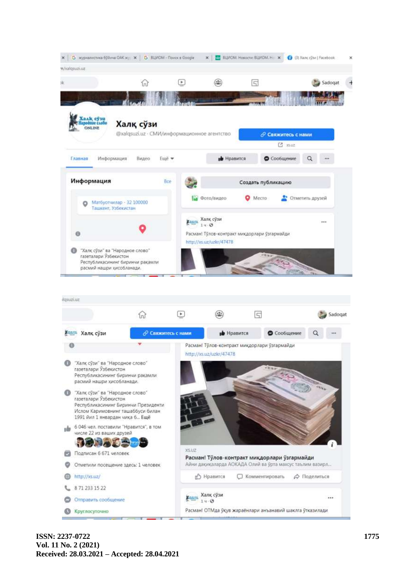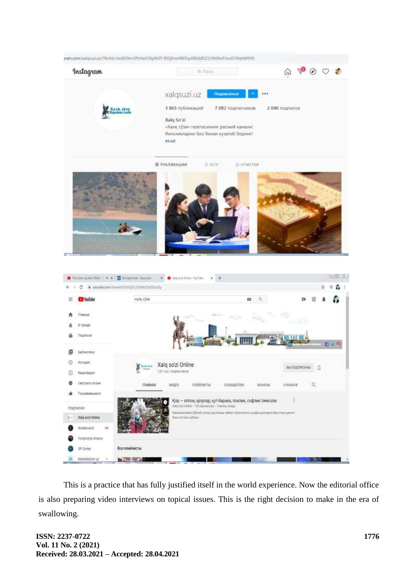

This is a practice that has fully justified itself in the world experience. Now the editorial office is also preparing video interviews on topical issues. This is the right decision to make in the era of swallowing.